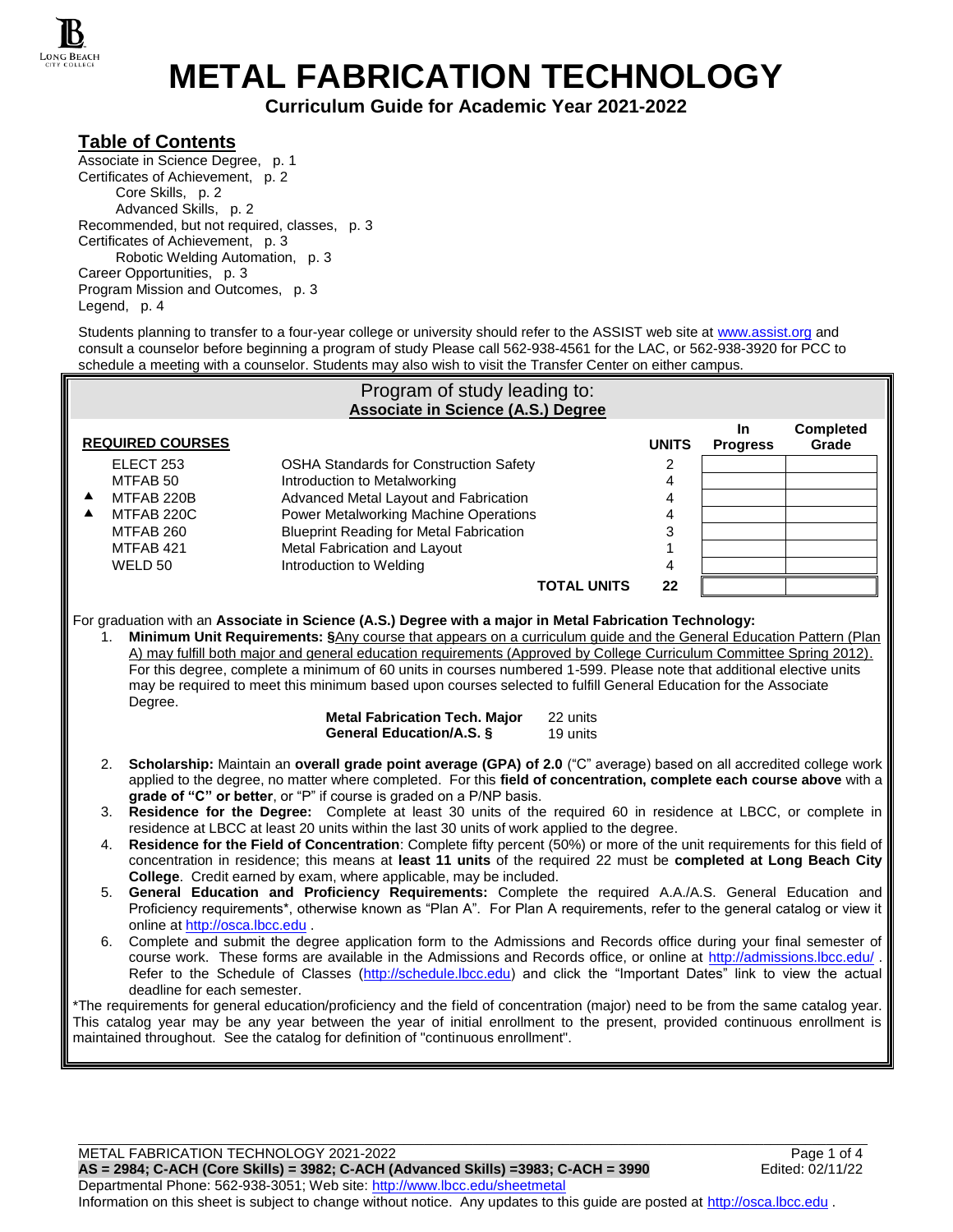

**METAL FABRICATION TECHNOLOGY**

**Curriculum Guide for Academic Year 2021-2022**

### **Table of Contents**

Associate in Science Degree, p. 1 Certificates of Achievement, p. 2 Core Skills, p. 2 Advanced Skills, p. 2 Recommended, but not required, classes, p. 3 Certificates of Achievement, p. 3 Robotic Welding Automation, p. 3 Career Opportunities, p. 3 Program Mission and Outcomes, p. 3 Legend, p. 4

Students planning to transfer to a four-year college or university should refer to the ASSIST web site at [www.assist.org](http://www.assist.org/) and consult a counselor before beginning a program of study Please call 562-938-4561 for the LAC, or 562-938-3920 for PCC to schedule a meeting with a counselor. Students may also wish to visit the Transfer Center on either campus.

| Program of study leading to:                                                                                                                                                                                                                                                                                                                                                                                                                                                                                                                                                                                                                                                                                                                                                                      |                                                                                                                                                                                                                   |                                                |                    |                         |                        |                           |
|---------------------------------------------------------------------------------------------------------------------------------------------------------------------------------------------------------------------------------------------------------------------------------------------------------------------------------------------------------------------------------------------------------------------------------------------------------------------------------------------------------------------------------------------------------------------------------------------------------------------------------------------------------------------------------------------------------------------------------------------------------------------------------------------------|-------------------------------------------------------------------------------------------------------------------------------------------------------------------------------------------------------------------|------------------------------------------------|--------------------|-------------------------|------------------------|---------------------------|
| Associate in Science (A.S.) Degree                                                                                                                                                                                                                                                                                                                                                                                                                                                                                                                                                                                                                                                                                                                                                                |                                                                                                                                                                                                                   |                                                |                    |                         |                        |                           |
|                                                                                                                                                                                                                                                                                                                                                                                                                                                                                                                                                                                                                                                                                                                                                                                                   | <b>REQUIRED COURSES</b>                                                                                                                                                                                           |                                                |                    | <b>UNITS</b>            | In.<br><b>Progress</b> | <b>Completed</b><br>Grade |
|                                                                                                                                                                                                                                                                                                                                                                                                                                                                                                                                                                                                                                                                                                                                                                                                   | ELECT <sub>253</sub>                                                                                                                                                                                              | <b>OSHA Standards for Construction Safety</b>  |                    | 2                       |                        |                           |
|                                                                                                                                                                                                                                                                                                                                                                                                                                                                                                                                                                                                                                                                                                                                                                                                   | MTFAB 50                                                                                                                                                                                                          | Introduction to Metalworking                   |                    | 4                       |                        |                           |
| ▲                                                                                                                                                                                                                                                                                                                                                                                                                                                                                                                                                                                                                                                                                                                                                                                                 | MTFAB 220B                                                                                                                                                                                                        | Advanced Metal Layout and Fabrication          |                    | 4                       |                        |                           |
| ▲                                                                                                                                                                                                                                                                                                                                                                                                                                                                                                                                                                                                                                                                                                                                                                                                 | MTFAB 220C                                                                                                                                                                                                        | Power Metalworking Machine Operations          |                    | 4                       |                        |                           |
|                                                                                                                                                                                                                                                                                                                                                                                                                                                                                                                                                                                                                                                                                                                                                                                                   | MTFAB 260                                                                                                                                                                                                         | <b>Blueprint Reading for Metal Fabrication</b> |                    | 3                       |                        |                           |
|                                                                                                                                                                                                                                                                                                                                                                                                                                                                                                                                                                                                                                                                                                                                                                                                   | MTFAB 421                                                                                                                                                                                                         | Metal Fabrication and Layout                   |                    | $\mathbf{1}$            |                        |                           |
|                                                                                                                                                                                                                                                                                                                                                                                                                                                                                                                                                                                                                                                                                                                                                                                                   | WELD 50                                                                                                                                                                                                           | Introduction to Welding                        |                    | $\overline{\mathbf{4}}$ |                        |                           |
|                                                                                                                                                                                                                                                                                                                                                                                                                                                                                                                                                                                                                                                                                                                                                                                                   |                                                                                                                                                                                                                   |                                                | <b>TOTAL UNITS</b> | 22                      |                        |                           |
| A) may fulfill both major and general education requirements (Approved by College Curriculum Committee Spring 2012).<br>For this degree, complete a minimum of 60 units in courses numbered 1-599. Please note that additional elective units<br>may be required to meet this minimum based upon courses selected to fulfill General Education for the Associate<br>Degree.<br><b>Metal Fabrication Tech. Major</b><br>22 units<br>General Education/A.S. §<br>19 units<br>2. Scholarship: Maintain an overall grade point average (GPA) of 2.0 ("C" average) based on all accredited college work<br>applied to the degree, no matter where completed. For this field of concentration, complete each course above with a<br>grade of "C" or better, or "P" if course is graded on a P/NP basis. |                                                                                                                                                                                                                   |                                                |                    |                         |                        |                           |
|                                                                                                                                                                                                                                                                                                                                                                                                                                                                                                                                                                                                                                                                                                                                                                                                   | Residence for the Degree: Complete at least 30 units of the required 60 in residence at LBCC, or complete in<br>3.<br>residence at LBCC at least 20 units within the last 30 units of work applied to the degree. |                                                |                    |                         |                        |                           |
| Residence for the Field of Concentration: Complete fifty percent (50%) or more of the unit requirements for this field of<br>4.<br>concentration in residence; this means at least 11 units of the required 22 must be completed at Long Beach City<br>College. Credit earned by exam, where applicable, may be included.                                                                                                                                                                                                                                                                                                                                                                                                                                                                         |                                                                                                                                                                                                                   |                                                |                    |                         |                        |                           |
| General Education and Proficiency Requirements: Complete the required A.A./A.S. General Education and<br>5.<br>Proficiency requirements*, otherwise known as "Plan A". For Plan A requirements, refer to the general catalog or view it<br>online at http://osca.lbcc.edu.                                                                                                                                                                                                                                                                                                                                                                                                                                                                                                                        |                                                                                                                                                                                                                   |                                                |                    |                         |                        |                           |
| 6. Complete and submit the degree application form to the Admissions and Records office during your final semester of<br>course work. These forms are available in the Admissions and Records office, or online at http://admissions.lbcc.edu/.<br>Refer to the Schedule of Classes (http://schedule.lbcc.edu) and click the "Important Dates" link to view the actual<br>deadline for each semester.                                                                                                                                                                                                                                                                                                                                                                                             |                                                                                                                                                                                                                   |                                                |                    |                         |                        |                           |
| *The requirements for general education/proficiency and the field of concentration (major) need to be from the same catalog year.<br>This catalog year may be any year between the year of initial enrollment to the present, provided continuous enrollment is<br>maintained throughout. See the catalog for definition of "continuous enrollment".                                                                                                                                                                                                                                                                                                                                                                                                                                              |                                                                                                                                                                                                                   |                                                |                    |                         |                        |                           |

METAL FABRICATION TECHNOLOGY 2021-2022<br>AS = 2984; C-ACH (Core Skills) = 3982; C-ACH (Advanced Skills) =3983; C-ACH = 3990 Edited: 02/11/22 **AS = 2984; C-ACH (Core Skills) = 3982; C-ACH (Advanced Skills) =3983; C-ACH = 3990** 

Departmental Phone: 562-938-3051; Web site: [http://www.lbcc.edu/sheetmetal](http://sheetmetal.lbcc.edu/) Information on this sheet is subject to change without notice. Any updates to this guide are posted at [http://osca.lbcc.edu](http://osca.lbcc.edu/) .

\_\_\_\_\_\_\_\_\_\_\_\_\_\_\_\_\_\_\_\_\_\_\_\_\_\_\_\_\_\_\_\_\_\_\_\_\_\_\_\_\_\_\_\_\_\_\_\_\_\_\_\_\_\_\_\_\_\_\_\_\_\_\_\_\_\_\_\_\_\_\_\_\_\_\_\_\_\_\_\_\_\_\_\_\_\_\_\_\_\_\_\_\_\_\_\_\_\_\_\_\_\_\_\_\_\_\_\_\_\_\_\_\_\_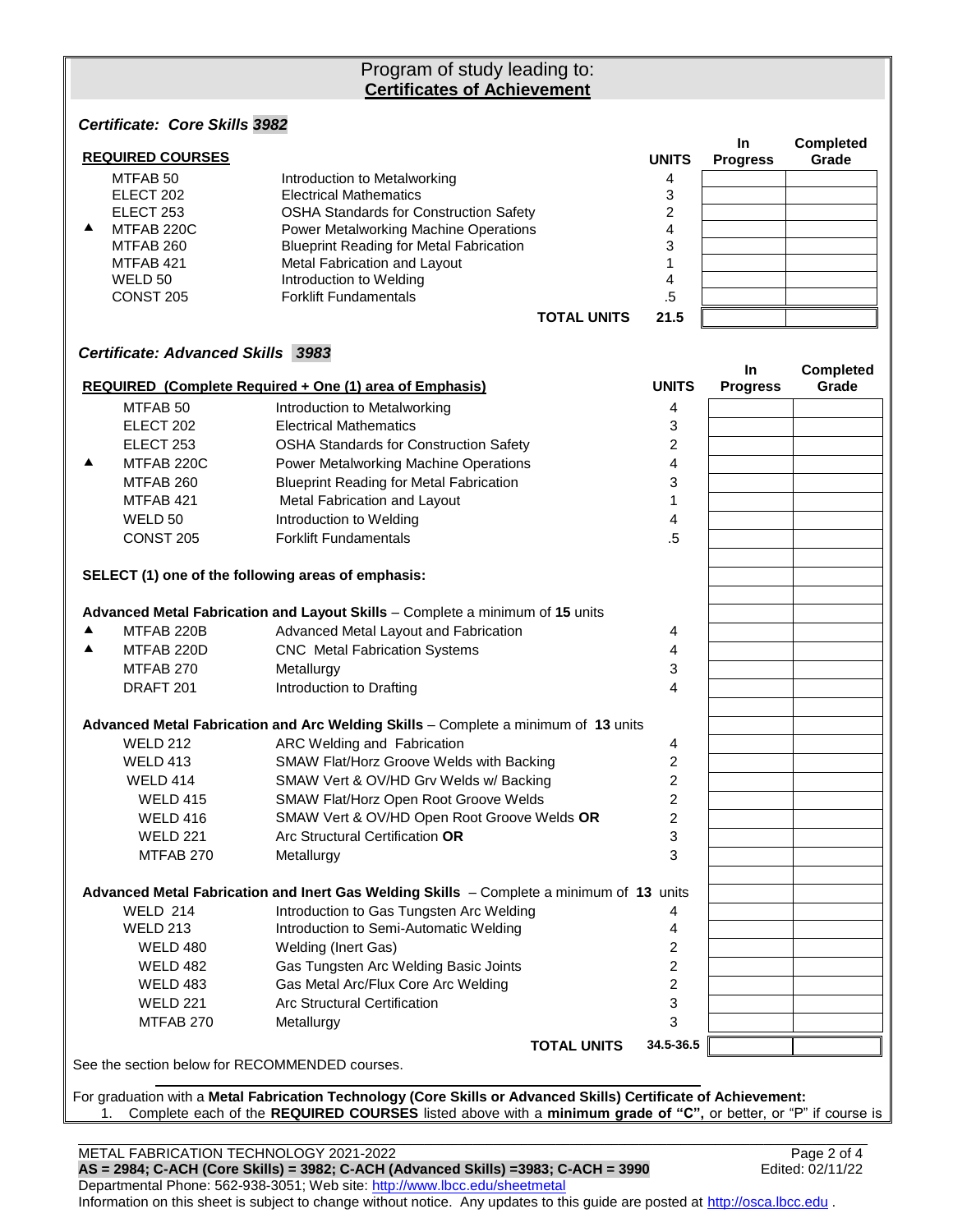# Program of study leading to: **Certificates of Achievement**

*Certificate: Core Skills 3982*

|   | <b>REQUIRED COURSES</b>           |                                                                                          | <b>UNITS</b>            | In<br><b>Progress</b> | Completed<br>Grade |
|---|-----------------------------------|------------------------------------------------------------------------------------------|-------------------------|-----------------------|--------------------|
|   | MTFAB <sub>50</sub>               | Introduction to Metalworking                                                             | 4                       |                       |                    |
|   | ELECT 202                         | <b>Electrical Mathematics</b>                                                            | 3                       |                       |                    |
|   | ELECT 253                         | <b>OSHA Standards for Construction Safety</b>                                            | $\overline{2}$          |                       |                    |
| ▲ | MTFAB 220C                        | Power Metalworking Machine Operations                                                    | 4                       |                       |                    |
|   | MTFAB 260                         | <b>Blueprint Reading for Metal Fabrication</b>                                           | 3                       |                       |                    |
|   | MTFAB 421                         | Metal Fabrication and Layout                                                             | 1                       |                       |                    |
|   | WELD 50                           | Introduction to Welding                                                                  | 4                       |                       |                    |
|   | CONST 205                         | <b>Forklift Fundamentals</b>                                                             | $.5\,$                  |                       |                    |
|   |                                   | <b>TOTAL UNITS</b>                                                                       | 21.5                    |                       |                    |
|   | Certificate: Advanced Skills 3983 |                                                                                          |                         | <b>In</b>             | <b>Completed</b>   |
|   |                                   | <b>REQUIRED (Complete Required + One (1) area of Emphasis)</b>                           | <b>UNITS</b>            | <b>Progress</b>       | Grade              |
|   | MTFAB <sub>50</sub>               | Introduction to Metalworking                                                             | 4                       |                       |                    |
|   | ELECT 202                         | <b>Electrical Mathematics</b>                                                            | 3                       |                       |                    |
|   | ELECT 253                         | <b>OSHA Standards for Construction Safety</b>                                            | 2                       |                       |                    |
| ▲ | MTFAB 220C                        | Power Metalworking Machine Operations                                                    | 4                       |                       |                    |
|   | MTFAB 260                         | <b>Blueprint Reading for Metal Fabrication</b>                                           | 3                       |                       |                    |
|   | MTFAB 421                         | Metal Fabrication and Layout                                                             | 1                       |                       |                    |
|   | WELD 50                           | Introduction to Welding                                                                  | 4                       |                       |                    |
|   | <b>CONST 205</b>                  | <b>Forklift Fundamentals</b>                                                             | $.5\,$                  |                       |                    |
|   |                                   | SELECT (1) one of the following areas of emphasis:                                       |                         |                       |                    |
|   |                                   | Advanced Metal Fabrication and Layout Skills - Complete a minimum of 15 units            |                         |                       |                    |
| ▲ | MTFAB 220B                        | Advanced Metal Layout and Fabrication                                                    | 4                       |                       |                    |
| ▲ | MTFAB 220D                        | <b>CNC</b> Metal Fabrication Systems                                                     | 4                       |                       |                    |
|   | MTFAB 270                         | Metallurgy                                                                               | 3                       |                       |                    |
|   | DRAFT 201                         | Introduction to Drafting                                                                 | 4                       |                       |                    |
|   |                                   | Advanced Metal Fabrication and Arc Welding Skills - Complete a minimum of 13 units       |                         |                       |                    |
|   | <b>WELD 212</b>                   | ARC Welding and Fabrication                                                              | 4                       |                       |                    |
|   | <b>WELD 413</b>                   | SMAW Flat/Horz Groove Welds with Backing                                                 | 2                       |                       |                    |
|   | WELD 414                          | SMAW Vert & OV/HD Grv Welds w/ Backing                                                   | 2                       |                       |                    |
|   | <b>WELD 415</b>                   | SMAW Flat/Horz Open Root Groove Welds                                                    | 2                       |                       |                    |
|   | WELD 416                          | SMAW Vert & OV/HD Open Root Groove Welds OR                                              | $\overline{2}$          |                       |                    |
|   | <b>WELD 221</b>                   | Arc Structural Certification OR                                                          | 3                       |                       |                    |
|   | MTFAB 270                         | Metallurgy                                                                               | 3                       |                       |                    |
|   |                                   |                                                                                          |                         |                       |                    |
|   |                                   | Advanced Metal Fabrication and Inert Gas Welding Skills - Complete a minimum of 13 units |                         |                       |                    |
|   | <b>WELD 214</b>                   | Introduction to Gas Tungsten Arc Welding                                                 | 4                       |                       |                    |
|   | <b>WELD 213</b>                   | Introduction to Semi-Automatic Welding                                                   | 4                       |                       |                    |
|   | <b>WELD 480</b>                   | Welding (Inert Gas)                                                                      | 2                       |                       |                    |
|   | <b>WELD 482</b>                   | Gas Tungsten Arc Welding Basic Joints                                                    | 2                       |                       |                    |
|   | <b>WELD 483</b>                   | Gas Metal Arc/Flux Core Arc Welding                                                      | $\overline{\mathbf{c}}$ |                       |                    |
|   | <b>WELD 221</b>                   | <b>Arc Structural Certification</b>                                                      | 3                       |                       |                    |
|   | MTFAB 270                         | Metallurgy                                                                               | 3                       |                       |                    |
|   |                                   | <b>TOTAL UNITS</b>                                                                       | 34.5-36.5               |                       |                    |
|   |                                   | See the section below for RECOMMENDED courses.                                           |                         |                       |                    |
|   |                                   |                                                                                          |                         |                       |                    |

For graduation with a **Metal Fabrication Technology (Core Skills or Advanced Skills) Certificate of Achievement:** 1. Complete each of the **REQUIRED COURSES** listed above with a **minimum grade of "C",** or better, or "P" if course is

\_\_\_\_\_\_\_\_\_\_\_\_\_\_\_\_\_\_\_\_\_\_\_\_\_\_\_\_\_\_\_\_\_\_\_\_\_\_\_\_\_\_\_\_\_\_\_\_\_\_\_\_\_\_\_\_\_\_\_\_\_\_\_\_\_\_\_\_\_\_\_\_\_\_\_\_\_\_\_\_\_\_\_\_\_\_\_\_\_\_\_\_\_\_\_\_\_\_\_\_\_\_\_\_\_\_\_\_\_\_\_\_\_\_ METAL FABRICATION TECHNOLOGY 2021-2022<br>AS = 2984; C-ACH (Core Skills) = 3982; C-ACH (Advanced Skills) =3983; C-ACH = 3990 Edited: 02/11/22 AS = 2984; C-ACH (Core Skills) = 3982; C-ACH (Advanced Skills) =3983; C-ACH = 3990 Departmental Phone: 562-938-3051; Web site: [http://www.lbcc.edu/sheetmetal](http://sheetmetal.lbcc.edu/) Information on this sheet is subject to change without notice. Any updates to this guide are posted at [http://osca.lbcc.edu](http://osca.lbcc.edu/).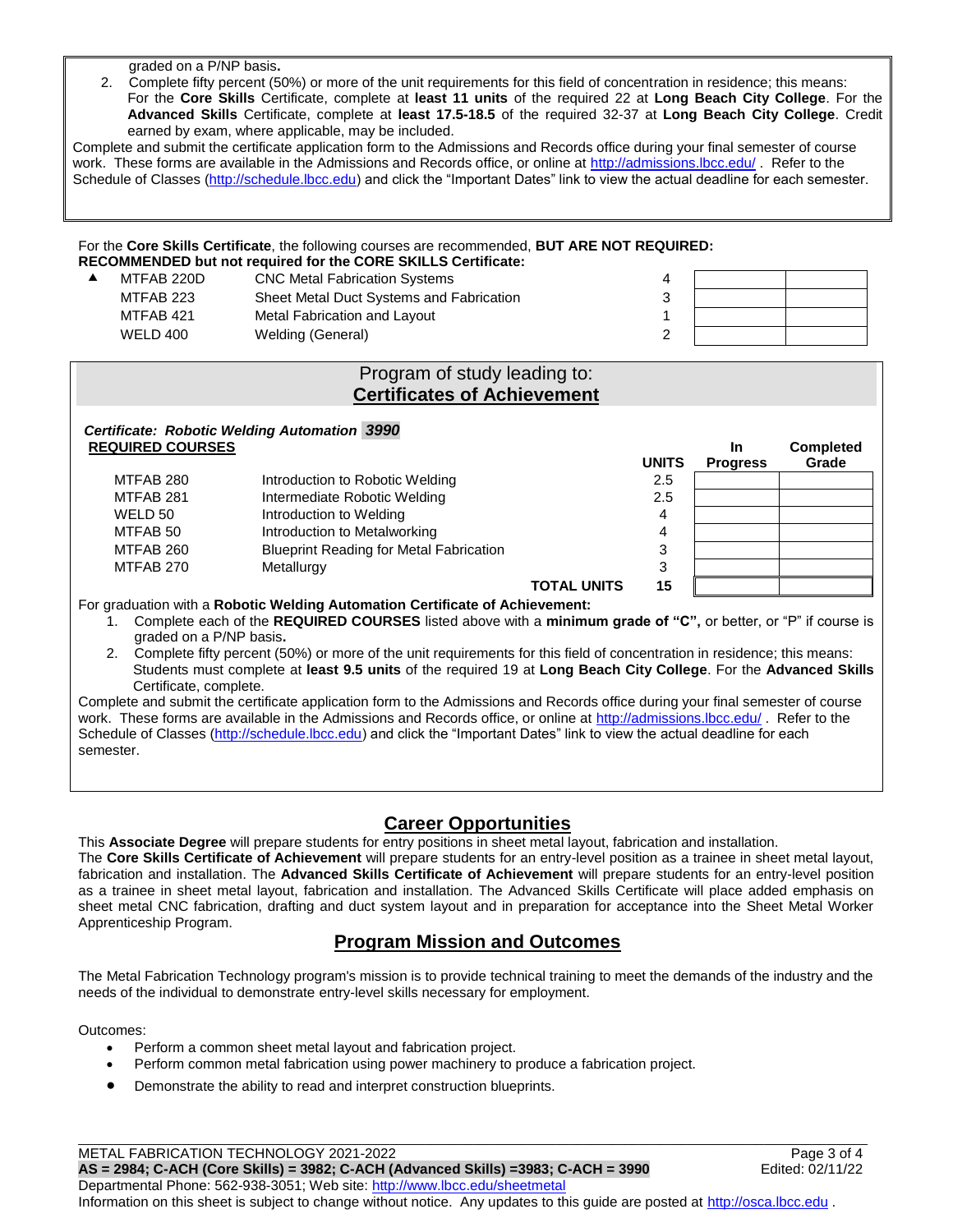graded on a P/NP basis**.**

2. Complete fifty percent (50%) or more of the unit requirements for this field of concentration in residence; this means: For the **Core Skills** Certificate, complete at **least 11 units** of the required 22 at **Long Beach City College**. For the **Advanced Skills** Certificate, complete at **least 17.5-18.5** of the required 32-37 at **Long Beach City College**. Credit earned by exam, where applicable, may be included.

Complete and submit the certificate application form to the Admissions and Records office during your final semester of course work. These forms are available in the Admissions and Records office, or online at<http://admissions.lbcc.edu/> . Refer to the Schedule of Classes [\(http://schedule.lbcc.edu\)](http://schedule.lbcc.edu/) and click the "Important Dates" link to view the actual deadline for each semester.

#### For the **Core Skills Certificate**, the following courses are recommended, **BUT ARE NOT REQUIRED: RECOMMENDED but not required for the CORE SKILLS Certificate:**

| MTFAB 220D | <b>CNC Metal Fabrication Systems</b>     |  |  |
|------------|------------------------------------------|--|--|
| MTFAB 223  | Sheet Metal Duct Systems and Fabrication |  |  |
| MTFAB 421  | Metal Fabrication and Layout             |  |  |
| WELD 400   | Welding (General)                        |  |  |

# Program of study leading to: **Certificates of Achievement**

| Certificate: Robotic Welding Automation 3990 |                                                |                    |              |                 |                  |  |  |
|----------------------------------------------|------------------------------------------------|--------------------|--------------|-----------------|------------------|--|--|
| <b>REQUIRED COURSES</b>                      |                                                |                    |              | <b>In</b>       | <b>Completed</b> |  |  |
|                                              |                                                |                    | <b>UNITS</b> | <b>Progress</b> | Grade            |  |  |
| MTFAB 280                                    | Introduction to Robotic Welding                |                    | 2.5          |                 |                  |  |  |
| MTFAB 281                                    | Intermediate Robotic Welding                   |                    | 2.5          |                 |                  |  |  |
| WELD 50                                      | Introduction to Welding                        |                    | 4            |                 |                  |  |  |
| MTFAB 50                                     | Introduction to Metalworking                   |                    | 4            |                 |                  |  |  |
| MTFAB 260                                    | <b>Blueprint Reading for Metal Fabrication</b> |                    | 3            |                 |                  |  |  |
| MTFAB 270                                    | Metallurgy                                     |                    | 3            |                 |                  |  |  |
|                                              |                                                | <b>TOTAL UNITS</b> | 15           |                 |                  |  |  |

For graduation with a **Robotic Welding Automation Certificate of Achievement:**

- 1. Complete each of the **REQUIRED COURSES** listed above with a **minimum grade of "C",** or better, or "P" if course is graded on a P/NP basis**.**
- 2. Complete fifty percent (50%) or more of the unit requirements for this field of concentration in residence; this means: Students must complete at **least 9.5 units** of the required 19 at **Long Beach City College**. For the **Advanced Skills** Certificate, complete.

Complete and submit the certificate application form to the Admissions and Records office during your final semester of course work. These forms are available in the Admissions and Records office, or online at<http://admissions.lbcc.edu/> . Refer to the Schedule of Classes [\(http://schedule.lbcc.edu\)](http://schedule.lbcc.edu/) and click the "Important Dates" link to view the actual deadline for each semester.

#### **Career Opportunities**

This **Associate Degree** will prepare students for entry positions in sheet metal layout, fabrication and installation.

The **Core Skills Certificate of Achievement** will prepare students for an entry-level position as a trainee in sheet metal layout, fabrication and installation. The **Advanced Skills Certificate of Achievement** will prepare students for an entry-level position as a trainee in sheet metal layout, fabrication and installation. The Advanced Skills Certificate will place added emphasis on sheet metal CNC fabrication, drafting and duct system layout and in preparation for acceptance into the Sheet Metal Worker Apprenticeship Program.

# **Program Mission and Outcomes**

The Metal Fabrication Technology program's mission is to provide technical training to meet the demands of the industry and the needs of the individual to demonstrate entry-level skills necessary for employment.

Outcomes:

- Perform a common sheet metal layout and fabrication project.
- Perform common metal fabrication using power machinery to produce a fabrication project.
- Demonstrate the ability to read and interpret construction blueprints.

METAL FABRICATION TECHNOLOGY 2021-2022 **Page 3 of 4** 

**AS = 2984; C-ACH (Core Skills) = 3982; C-ACH (Advanced Skills) =3983; C-ACH = 3990** Edited: 02/11/22

Departmental Phone: 562-938-3051; Web site: [http://www.lbcc.edu/sheetmetal](http://sheetmetal.lbcc.edu/) Information on this sheet is subject to change without notice. Any updates to this guide are posted at [http://osca.lbcc.edu](http://osca.lbcc.edu/) .

\_\_\_\_\_\_\_\_\_\_\_\_\_\_\_\_\_\_\_\_\_\_\_\_\_\_\_\_\_\_\_\_\_\_\_\_\_\_\_\_\_\_\_\_\_\_\_\_\_\_\_\_\_\_\_\_\_\_\_\_\_\_\_\_\_\_\_\_\_\_\_\_\_\_\_\_\_\_\_\_\_\_\_\_\_\_\_\_\_\_\_\_\_\_\_\_\_\_\_\_\_\_\_\_\_\_\_\_\_\_\_\_\_\_